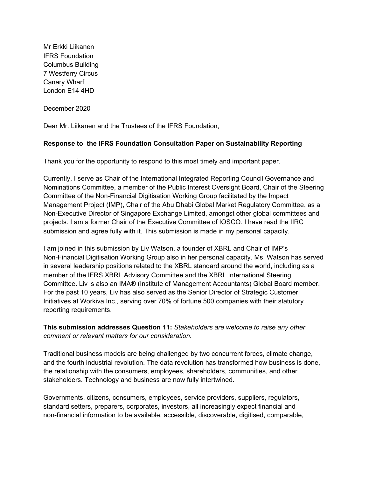Mr Erkki Liikanen IFRS Foundation Columbus Building 7 Westferry Circus Canary Wharf London E14 4HD

December 2020

Dear Mr. Liikanen and the Trustees of the IFRS Foundation,

## **Response to the IFRS Foundation Consultation Paper on Sustainability Reporting**

Thank you for the opportunity to respond to this most timely and important paper.

Currently, I serve as Chair of the International Integrated Reporting Council Governance and Nominations Committee, a member of the Public Interest Oversight Board, Chair of the Steering Committee of the Non-Financial Digitisation Working Group facilitated by the Impact Management Project (IMP), Chair of the Abu Dhabi Global Market Regulatory Committee, as a Non-Executive Director of Singapore Exchange Limited, amongst other global committees and projects. I am a former Chair of the Executive Committee of IOSCO. I have read the IIRC submission and agree fully with it. This submission is made in my personal capacity.

I am joined in this submission by Liv Watson, a founder of XBRL and Chair of IMP's Non-Financial Digitisation Working Group also in her personal capacity. Ms. Watson has served in several leadership positions related to the XBRL standard around the world, including as a member of the IFRS XBRL Advisory Committee and the XBRL International Steering Committee. Liv is also an IMA® (Institute of Management Accountants) Global Board member. For the past 10 years, Liv has also served as the Senior Director of Strategic Customer Initiatives at Workiva Inc., serving over 70% of fortune 500 companies with their statutory reporting requirements.

**This submission addresses Question 11:** *Stakeholders are welcome to raise any other comment or relevant matters for our consideration.*

Traditional business models are being challenged by two concurrent forces, climate change, and the fourth industrial revolution. The data revolution has transformed how business is done, the relationship with the consumers, employees, shareholders, communities, and other stakeholders. Technology and business are now fully intertwined.

Governments, citizens, consumers, employees, service providers, suppliers, regulators, standard setters, preparers, corporates, investors, all increasingly expect financial and non-financial information to be available, accessible, discoverable, digitised, comparable,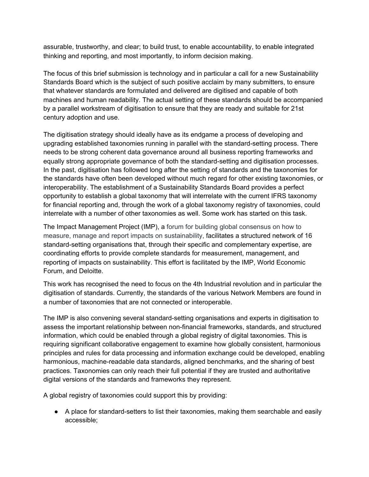assurable, trustworthy, and clear; to build trust, to enable accountability, to enable integrated thinking and reporting, and most importantly, to inform decision making.

The focus of this brief submission is technology and in particular a call for a new Sustainability Standards Board which is the subject of such positive acclaim by many submitters, to ensure that whatever standards are formulated and delivered are digitised and capable of both machines and human readability. The actual setting of these standards should be accompanied by a parallel workstream of digitisation to ensure that they are ready and suitable for 21st century adoption and use.

The digitisation strategy should ideally have as its endgame a process of developing and upgrading established taxonomies running in parallel with the standard-setting process. There needs to be strong coherent data governance around all business reporting frameworks and equally strong appropriate governance of both the standard-setting and digitisation processes. In the past, digitisation has followed long after the setting of standards and the taxonomies for the standards have often been developed without much regard for other existing taxonomies, or interoperability. The establishment of a Sustainability Standards Board provides a perfect opportunity to establish a global taxonomy that will interrelate with the current IFRS taxonomy for financial reporting and, through the work of a global taxonomy registry of taxonomies, could interrelate with a number of other taxonomies as well. Some work has started on this task.

The Impact Management Project (IMP), a forum for building global consensus on how to measure, manage and report impacts on sustainability, facilitates a structured network of 16 standard-setting organisations that, through their specific and complementary expertise, are coordinating efforts to provide complete standards for measurement, management, and reporting of impacts on sustainability. This effort is facilitated by the IMP, World Economic Forum, and Deloitte.

This work has recognised the need to focus on the 4th Industrial revolution and in particular the digitisation of standards. Currently, the standards of the various Network Members are found in a number of taxonomies that are not connected or interoperable.

The IMP is also convening several standard-setting organisations and experts in digitisation to assess the important relationship between non-financial frameworks, standards, and structured information, which could be enabled through a global registry of digital taxonomies. This is requiring significant collaborative engagement to examine how globally consistent, harmonious principles and rules for data processing and information exchange could be developed, enabling harmonious, machine-readable data standards, aligned benchmarks, and the sharing of best practices. Taxonomies can only reach their full potential if they are trusted and authoritative digital versions of the standards and frameworks they represent.

A global registry of taxonomies could support this by providing:

● A place for standard-setters to list their taxonomies, making them searchable and easily accessible;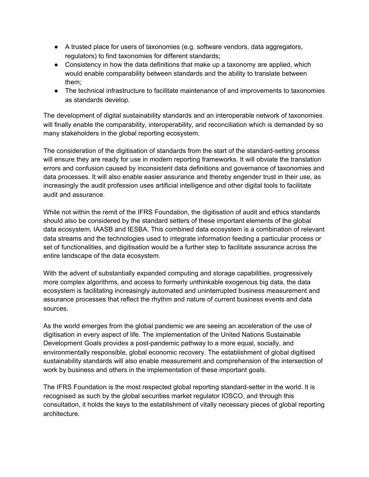- A trusted place for users of taxonomies (e.g. software vendors, data aggregators, regulators) to find taxonomies for different standards;
- $\bullet$  Consistency in how the data definitions that make up a taxonomy are applied, which would enable comparability between standards and the ability to translate between them;
- The technical infrastructure to facilitate maintenance of and improvements to taxonomies as standards develop.

The development of digital sustainability standards and an interoperable network of taxonomies will finally enable the comparability, interoperability, and reconciliation which is demanded by so many stakeholders in the global reporting ecosystem.

The consideration of the digitisation of standards from the start of the standard-setting process will ensure they are ready for use in modern reporting frameworks. It will obviate the translation errors and confusion caused by inconsistent data definitions and governance of taxonomies and data processes. It will also enable easier assurance and thereby engender trust in their use, as increasingly the audit profession uses artificial intelligence and other digital tools to facilitate audit and assurance.

While not within the remit of the IFRS Foundation, the digitisation of audit and ethics standards should also be considered by the standard setters of these important elements of the global data ecosystem, IAASB and IESBA. This combined data ecosystem is a combination of relevant data streams and the technologies used to integrate information feeding a particular process or set of functionalities, and digitisation would be a further step to facilitate assurance across the entire landscape of the data ecosystem.

With the advent of substantially expanded computing and storage capabilities, progressively more complex algorithms, and access to formerly unthinkable exogenous big data, the data ecosystem is facilitating increasingly automated and uninterrupted business measurement and assurance processes that reflect the rhythm and nature of current business events and data sources.

As the world emerges from the global pandemic we are seeing an acceleration of the use of digitisation in every aspect of life. The implementation of the United Nations Sustainable Development Goals provides a post-pandemic pathway to a more equal, socially, and environmentally responsible, global economic recovery. The establishment of global digitised sustainability standards will also enable measurement and comprehension of the intersection of work by business and others in the implementation of these important goals.

The IFRS Foundation is the most respected global reporting standard-setter in the world. It is recognised as such by the global securities market regulator IOSCO, and through this consultation, it holds the keys to the establishment of vitally necessary pieces of global reporting architecture.